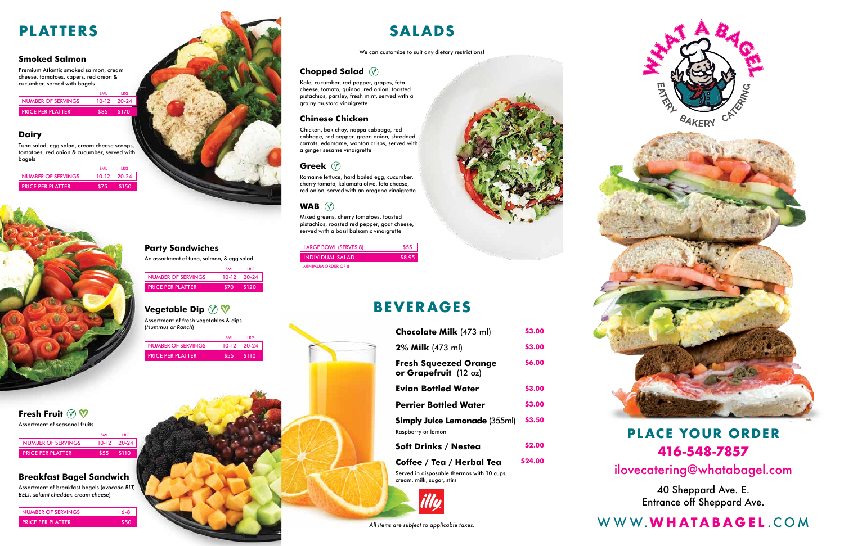### **Smoked Salmon**

Premium Atlantic smoked salmon, cream cheese, tomatoes, capers, red onion & cucumber, served with bagels

# **Chopped Salad**

Kale, cucumber, red pepper, grapes, feta cheese, tomato, quinoa, red onion, toasted pistachios, parsley, fresh mint, served with a grainy mustard vinaigrette

# **Chinese Chicken**

Chicken, bok choy, nappa cabbage, red cabbage, red pepper, green onion, shredded carrots, edamame, wonton crisps, served with a ginger sesame vinaigrette

# **Greek**

Romaine lettuce, hard boiled egg, cucumber, cherry tomato, kalamata olive, feta cheese, red onion, served with an oregano vinaigrette

# **WAB**

Mixed greens, cherry tomatoes, toasted pistachios, roasted red pepper, goat cheese, served with a basil balsamic vinaigrette

We can customize to suit any dietary restrictions!

|                          | <b>SMI</b> | IRG.        |
|--------------------------|------------|-------------|
| NUMBER OF SERVINGS       |            | 10-12 20-24 |
| <b>PRICE PER PLATTER</b> |            | \$170       |

### **Dairy**

Tuna salad, egg salad, cream cheese scoops, tomatoes, red onion & cucumber, served with bagels

|                          | <b>SMI</b> | IRG.          |
|--------------------------|------------|---------------|
| NUMBER OF SERVINGS       |            | $10-12$ 20-24 |
| <b>PRICE PER PLATTER</b> | \$75.      | \$150         |





Assortment of seasonal fruits

|                           | <b>SMI</b> | I RG          |  |
|---------------------------|------------|---------------|--|
| <b>NUMBER OF SERVINGS</b> |            | $10-12$ 20-24 |  |
| <b>PRICE PER PLATTER</b>  |            |               |  |

Assortment of fresh vegetables & dips (*Hummus or Ranch*)

|                          | <b>SMI</b>   | IRG.        |
|--------------------------|--------------|-------------|
| NUMBER OF SERVINGS       |              | 10-12 20-24 |
| <b>PRICE PER PLATTER</b> | $$55$ $$110$ |             |

# **Fresh Fruit**  $\mathbb{R}$  **V**

## **Breakfast Bagel Sandwich**

Assortment of breakfast bagels (*avocado BLT, BELT, salami cheddar, cream cheese*)

| <b>NUMBER OF SERVINGS</b> | $6-8$      |
|---------------------------|------------|
| <b>PRICE PER PLATTER</b>  | <b>S50</b> |

| <b>LARGE BOWL (SERVES 8)</b> | \$55   |
|------------------------------|--------|
| <b>INDIVIDUAL SALAD</b>      | \$8.95 |
| <b>MINIMUM ORDER OF 8</b>    |        |



# **Party Sandwiches**

An assortment of tuna, salmon, & egg salad

|                           | <b>SMI</b> | I RG        |
|---------------------------|------------|-------------|
| <b>NUMBER OF SERVINGS</b> |            | 10-12 20-24 |
| <b>PRICE PER PLATTER</b>  | 870.       | <b>S120</b> |

# **Vegetable Dip**  $\oslash \heartsuit$

# **PLATTERS**

# **BEVERAGES**



# WWW.**WHATABAGEL** .COM

# **PLACE YOUR ORDER 416-548-7857**

# ilovecatering@whatabagel.com

40 Sheppard Ave. E. Entrance off Sheppard Ave.

*All items are subject to applicable taxes.*







| <b>Chocolate Milk (473 ml)</b>                             | <b>S3.00</b>  |
|------------------------------------------------------------|---------------|
| 2% Milk (473 ml)                                           | <b>S3.00</b>  |
| <b>Fresh Squeezed Orange</b><br>or Grapefruit (12 oz)      | <b>S6.00</b>  |
| Evian Bottled Water                                        | <b>S3.00</b>  |
| <b>Perrier Bottled Water</b>                               | \$3.00        |
| <b>Simply Juice Lemonade (355ml)</b><br>Raspberry or lemon | <b>S3.50</b>  |
| <b>Soft Drinks / Nestea</b>                                | <b>S2.00</b>  |
| Coffee / Tea / Herbal Tea                                  | <b>S24.00</b> |

Served in disposable thermos with 10 cups, cream, milk, sugar, stirs